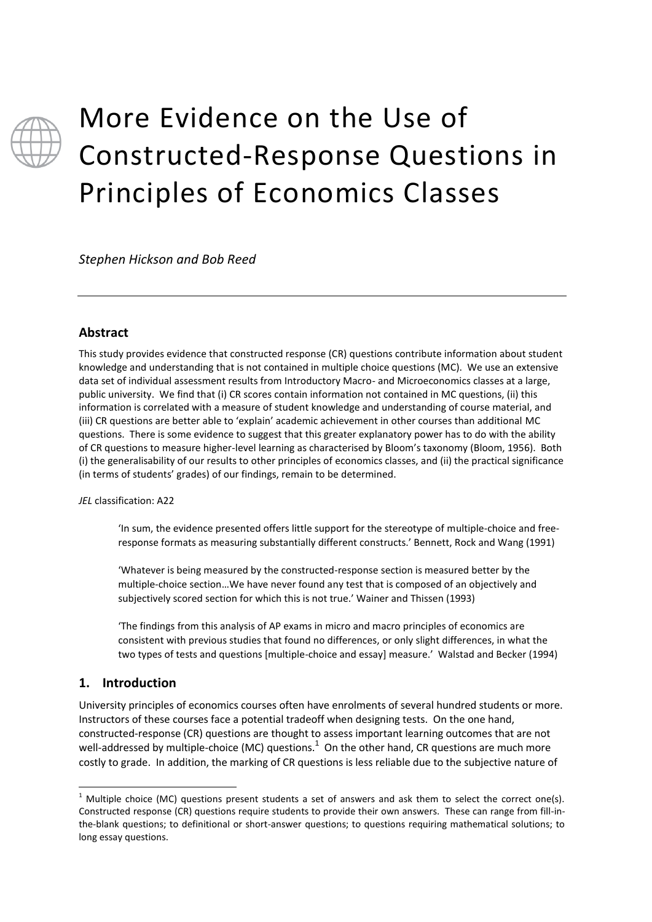

# More Evidence on the Use of Constructed-Response Questions in Principles of Economics Classes

*Stephen Hickson and Bob Reed*

#### **Abstract**

This study provides evidence that constructed response (CR) questions contribute information about student knowledge and understanding that is not contained in multiple choice questions (MC). We use an extensive data set of individual assessment results from Introductory Macro- and Microeconomics classes at a large, public university. We find that (i) CR scores contain information not contained in MC questions, (ii) this information is correlated with a measure of student knowledge and understanding of course material, and (iii) CR questions are better able to 'explain' academic achievement in other courses than additional MC questions. There is some evidence to suggest that this greater explanatory power has to do with the ability of CR questions to measure higher-level learning as characterised by Bloom's taxonomy (Bloom, 1956). Both (i) the generalisability of our results to other principles of economics classes, and (ii) the practical significance (in terms of students' grades) of our findings, remain to be determined.

#### *JEL* classification: A22

'In sum, the evidence presented offers little support for the stereotype of multiple-choice and freeresponse formats as measuring substantially different constructs.' Bennett, Rock and Wang (1991)

'Whatever is being measured by the constructed-response section is measured better by the multiple-choice section…We have never found any test that is composed of an objectively and subjectively scored section for which this is not true.' Wainer and Thissen (1993)

'The findings from this analysis of AP exams in micro and macro principles of economics are consistent with previous studies that found no differences, or only slight differences, in what the two types of tests and questions [multiple-choice and essay] measure.' Walstad and Becker (1994)

## **1. Introduction**

-

University principles of economics courses often have enrolments of several hundred students or more. Instructors of these courses face a potential tradeoff when designing tests. On the one hand, constructed-response (CR) questions are thought to assess important learning outcomes that are not well-addressed by multiple-choice (MC) questions.<sup>1</sup> On the other hand, CR questions are much more costly to grade. In addition, the marking of CR questions is less reliable due to the subjective nature of

 $1$  Multiple choice (MC) questions present students a set of answers and ask them to select the correct one(s). Constructed response (CR) questions require students to provide their own answers. These can range from fill-inthe-blank questions; to definitional or short-answer questions; to questions requiring mathematical solutions; to long essay questions.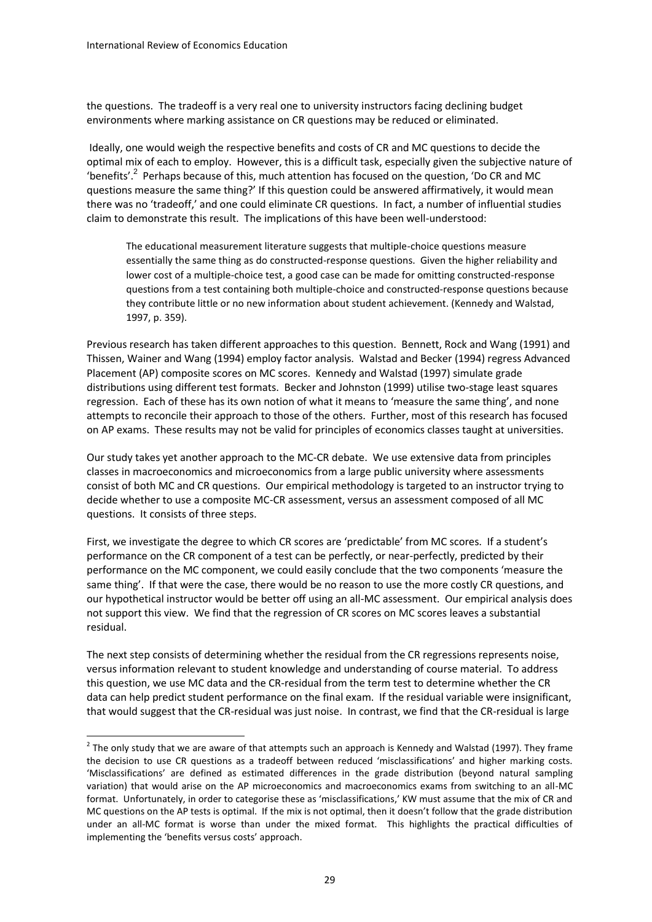the questions. The tradeoff is a very real one to university instructors facing declining budget environments where marking assistance on CR questions may be reduced or eliminated.

Ideally, one would weigh the respective benefits and costs of CR and MC questions to decide the optimal mix of each to employ. However, this is a difficult task, especially given the subjective nature of 'benefits'.<sup>2</sup> Perhaps because of this, much attention has focused on the question, 'Do CR and MC questions measure the same thing?' If this question could be answered affirmatively, it would mean there was no 'tradeoff,' and one could eliminate CR questions. In fact, a number of influential studies claim to demonstrate this result. The implications of this have been well-understood:

The educational measurement literature suggests that multiple-choice questions measure essentially the same thing as do constructed-response questions. Given the higher reliability and lower cost of a multiple-choice test, a good case can be made for omitting constructed-response questions from a test containing both multiple-choice and constructed-response questions because they contribute little or no new information about student achievement. (Kennedy and Walstad, 1997, p. 359).

Previous research has taken different approaches to this question. Bennett, Rock and Wang (1991) and Thissen, Wainer and Wang (1994) employ factor analysis. Walstad and Becker (1994) regress Advanced Placement (AP) composite scores on MC scores. Kennedy and Walstad (1997) simulate grade distributions using different test formats. Becker and Johnston (1999) utilise two-stage least squares regression. Each of these has its own notion of what it means to 'measure the same thing', and none attempts to reconcile their approach to those of the others. Further, most of this research has focused on AP exams. These results may not be valid for principles of economics classes taught at universities.

Our study takes yet another approach to the MC-CR debate. We use extensive data from principles classes in macroeconomics and microeconomics from a large public university where assessments consist of both MC and CR questions. Our empirical methodology is targeted to an instructor trying to decide whether to use a composite MC-CR assessment, versus an assessment composed of all MC questions. It consists of three steps.

First, we investigate the degree to which CR scores are 'predictable' from MC scores. If a student's performance on the CR component of a test can be perfectly, or near-perfectly, predicted by their performance on the MC component, we could easily conclude that the two components 'measure the same thing'. If that were the case, there would be no reason to use the more costly CR questions, and our hypothetical instructor would be better off using an all-MC assessment. Our empirical analysis does not support this view. We find that the regression of CR scores on MC scores leaves a substantial residual.

The next step consists of determining whether the residual from the CR regressions represents noise, versus information relevant to student knowledge and understanding of course material. To address this question, we use MC data and the CR-residual from the term test to determine whether the CR data can help predict student performance on the final exam. If the residual variable were insignificant, that would suggest that the CR-residual was just noise. In contrast, we find that the CR-residual is large

 $^2$  The only study that we are aware of that attempts such an approach is Kennedy and Walstad (1997). They frame the decision to use CR questions as a tradeoff between reduced 'misclassifications' and higher marking costs. 'Misclassifications' are defined as estimated differences in the grade distribution (beyond natural sampling variation) that would arise on the AP microeconomics and macroeconomics exams from switching to an all-MC format. Unfortunately, in order to categorise these as 'misclassifications,' KW must assume that the mix of CR and MC questions on the AP tests is optimal. If the mix is not optimal, then it doesn't follow that the grade distribution under an all-MC format is worse than under the mixed format. This highlights the practical difficulties of implementing the 'benefits versus costs' approach.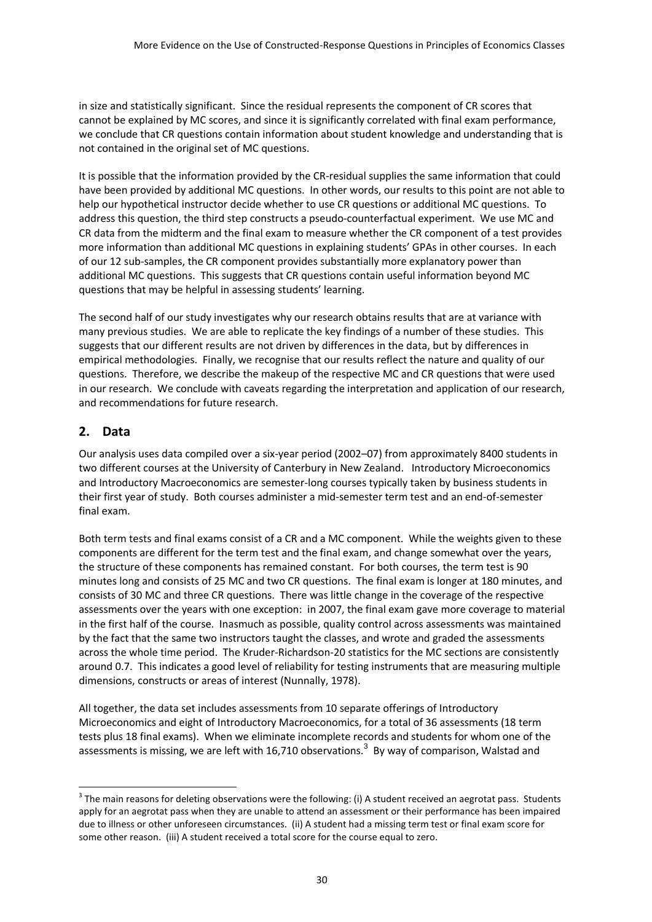in size and statistically significant. Since the residual represents the component of CR scores that cannot be explained by MC scores, and since it is significantly correlated with final exam performance, we conclude that CR questions contain information about student knowledge and understanding that is not contained in the original set of MC questions.

It is possible that the information provided by the CR-residual supplies the same information that could have been provided by additional MC questions. In other words, our results to this point are not able to help our hypothetical instructor decide whether to use CR questions or additional MC questions. To address this question, the third step constructs a pseudo-counterfactual experiment. We use MC and CR data from the midterm and the final exam to measure whether the CR component of a test provides more information than additional MC questions in explaining students' GPAs in other courses. In each of our 12 sub-samples, the CR component provides substantially more explanatory power than additional MC questions. This suggests that CR questions contain useful information beyond MC questions that may be helpful in assessing students' learning.

The second half of our study investigates why our research obtains results that are at variance with many previous studies. We are able to replicate the key findings of a number of these studies. This suggests that our different results are not driven by differences in the data, but by differences in empirical methodologies. Finally, we recognise that our results reflect the nature and quality of our questions. Therefore, we describe the makeup of the respective MC and CR questions that were used in our research. We conclude with caveats regarding the interpretation and application of our research, and recommendations for future research.

# **2. Data**

-

Our analysis uses data compiled over a six-year period (2002–07) from approximately 8400 students in two different courses at the University of Canterbury in New Zealand. Introductory Microeconomics and Introductory Macroeconomics are semester-long courses typically taken by business students in their first year of study. Both courses administer a mid-semester term test and an end-of-semester final exam.

Both term tests and final exams consist of a CR and a MC component. While the weights given to these components are different for the term test and the final exam, and change somewhat over the years, the structure of these components has remained constant. For both courses, the term test is 90 minutes long and consists of 25 MC and two CR questions. The final exam is longer at 180 minutes, and consists of 30 MC and three CR questions. There was little change in the coverage of the respective assessments over the years with one exception: in 2007, the final exam gave more coverage to material in the first half of the course. Inasmuch as possible, quality control across assessments was maintained by the fact that the same two instructors taught the classes, and wrote and graded the assessments across the whole time period. The Kruder-Richardson-20 statistics for the MC sections are consistently around 0.7. This indicates a good level of reliability for testing instruments that are measuring multiple dimensions, constructs or areas of interest (Nunnally, 1978).

All together, the data set includes assessments from 10 separate offerings of Introductory Microeconomics and eight of Introductory Macroeconomics, for a total of 36 assessments (18 term tests plus 18 final exams). When we eliminate incomplete records and students for whom one of the assessments is missing, we are left with 16,710 observations.<sup>3</sup> By way of comparison, Walstad and

 $3$  The main reasons for deleting observations were the following: (i) A student received an aegrotat pass. Students apply for an aegrotat pass when they are unable to attend an assessment or their performance has been impaired due to illness or other unforeseen circumstances. (ii) A student had a missing term test or final exam score for some other reason. (iii) A student received a total score for the course equal to zero.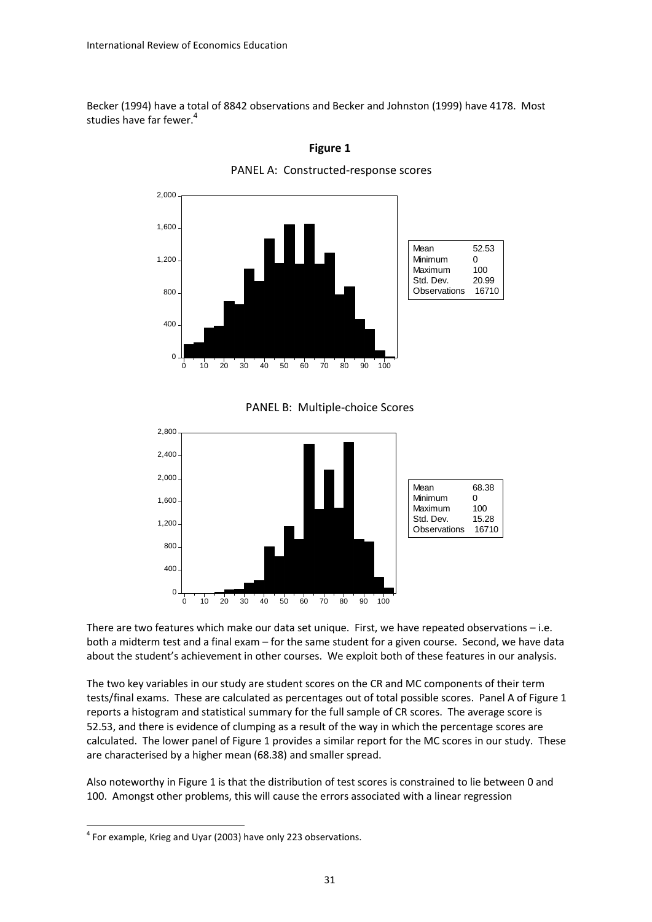Becker (1994) have a total of 8842 observations and Becker and Johnston (1999) have 4178. Most studies have far fewer.<sup>4</sup>



**Figure 1** PANEL A: Constructed-response scores





There are two features which make our data set unique. First, we have repeated observations – i.e. both a midterm test and a final exam – for the same student for a given course. Second, we have data about the student's achievement in other courses. We exploit both of these features in our analysis.

The two key variables in our study are student scores on the CR and MC components of their term tests/final exams. These are calculated as percentages out of total possible scores. Panel A of Figure 1 reports a histogram and statistical summary for the full sample of CR scores. The average score is 52.53, and there is evidence of clumping as a result of the way in which the percentage scores are calculated. The lower panel of Figure 1 provides a similar report for the MC scores in our study. These are characterised by a higher mean (68.38) and smaller spread.

Also noteworthy in Figure 1 is that the distribution of test scores is constrained to lie between 0 and 100. Amongst other problems, this will cause the errors associated with a linear regression

 $\overline{a}$ 

 $^4$  For example, Krieg and Uyar (2003) have only 223 observations.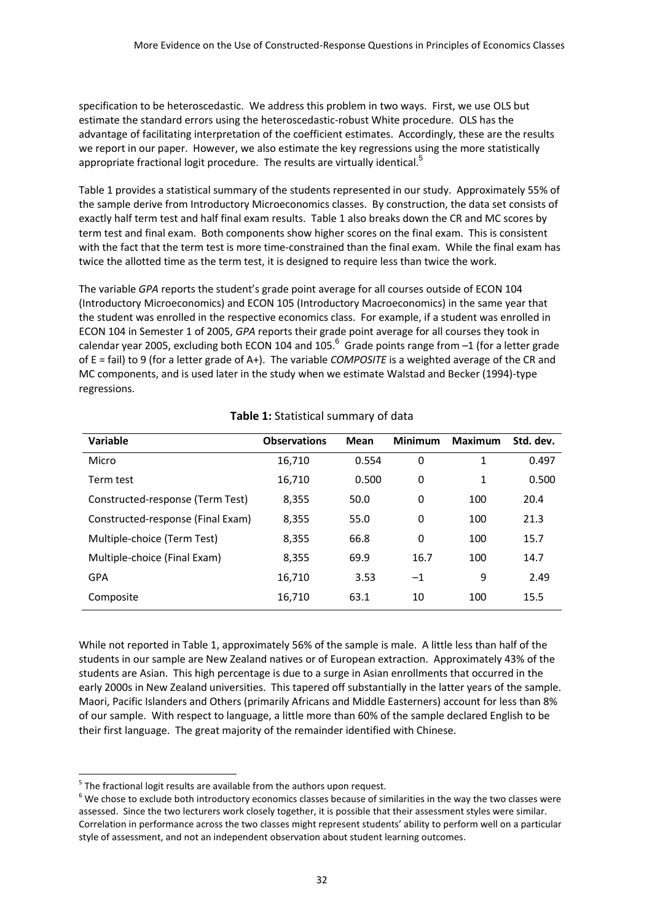specification to be heteroscedastic. We address this problem in two ways. First, we use OLS but estimate the standard errors using the heteroscedastic-robust White procedure. OLS has the advantage of facilitating interpretation of the coefficient estimates. Accordingly, these are the results we report in our paper. However, we also estimate the key regressions using the more statistically appropriate fractional logit procedure. The results are virtually identical.<sup>5</sup>

Table 1 provides a statistical summary of the students represented in our study. Approximately 55% of the sample derive from Introductory Microeconomics classes. By construction, the data set consists of exactly half term test and half final exam results. Table 1 also breaks down the CR and MC scores by term test and final exam. Both components show higher scores on the final exam. This is consistent with the fact that the term test is more time-constrained than the final exam. While the final exam has twice the allotted time as the term test, it is designed to require less than twice the work.

The variable *GPA* reports the student's grade point average for all courses outside of ECON 104 (Introductory Microeconomics) and ECON 105 (Introductory Macroeconomics) in the same year that the student was enrolled in the respective economics class. For example, if a student was enrolled in ECON 104 in Semester 1 of 2005, *GPA* reports their grade point average for all courses they took in calendar year 2005, excluding both ECON 104 and 105. $^6$  Grade points range from -1 (for a letter grade of E = fail) to 9 (for a letter grade of A+). The variable *COMPOSITE* is a weighted average of the CR and MC components, and is used later in the study when we estimate Walstad and Becker (1994)-type regressions.

| Variable                          | <b>Observations</b> | Mean  | <b>Minimum</b> | <b>Maximum</b> | Std. dev. |
|-----------------------------------|---------------------|-------|----------------|----------------|-----------|
| Micro                             | 16,710              | 0.554 | $\mathbf 0$    | 1              | 0.497     |
| Term test                         | 16,710              | 0.500 | 0              | 1              | 0.500     |
| Constructed-response (Term Test)  | 8,355               | 50.0  | 0              | 100            | 20.4      |
| Constructed-response (Final Exam) | 8,355               | 55.0  | $\mathbf 0$    | 100            | 21.3      |
| Multiple-choice (Term Test)       | 8,355               | 66.8  | 0              | 100            | 15.7      |
| Multiple-choice (Final Exam)      | 8,355               | 69.9  | 16.7           | 100            | 14.7      |
| <b>GPA</b>                        | 16,710              | 3.53  | $-1$           | 9              | 2.49      |
| Composite                         | 16,710              | 63.1  | 10             | 100            | 15.5      |

## **Table 1:** Statistical summary of data

While not reported in Table 1, approximately 56% of the sample is male. A little less than half of the students in our sample are New Zealand natives or of European extraction. Approximately 43% of the students are Asian. This high percentage is due to a surge in Asian enrollments that occurred in the early 2000s in New Zealand universities. This tapered off substantially in the latter years of the sample. Maori, Pacific Islanders and Others (primarily Africans and Middle Easterners) account for less than 8% of our sample. With respect to language, a little more than 60% of the sample declared English to be their first language. The great majority of the remainder identified with Chinese.

-

 $5$  The fractional logit results are available from the authors upon request.

<sup>&</sup>lt;sup>6</sup> We chose to exclude both introductory economics classes because of similarities in the way the two classes were assessed. Since the two lecturers work closely together, it is possible that their assessment styles were similar. Correlation in performance across the two classes might represent students' ability to perform well on a particular style of assessment, and not an independent observation about student learning outcomes.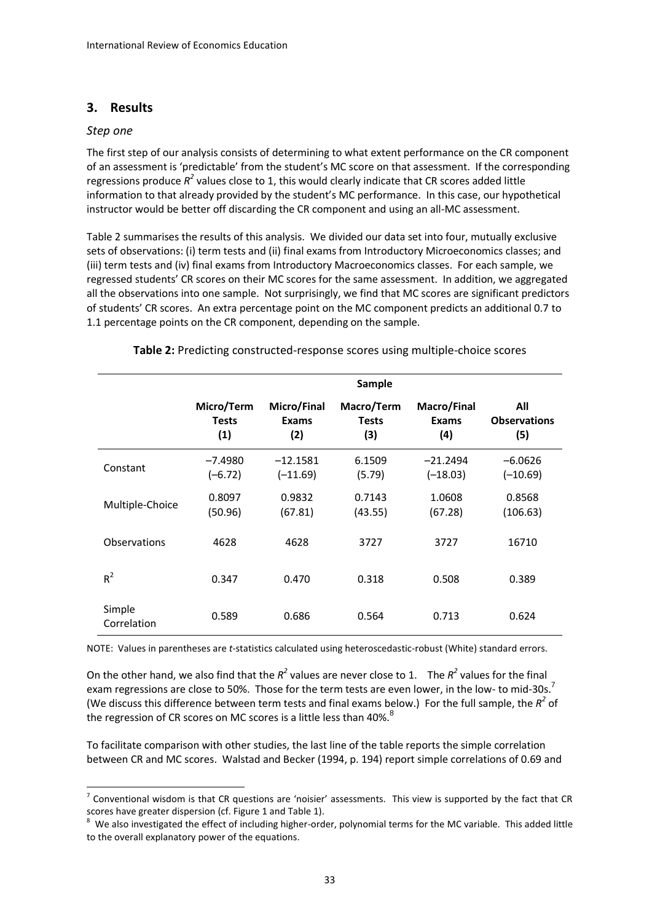## **3. Results**

#### *Step one*

The first step of our analysis consists of determining to what extent performance on the CR component of an assessment is 'predictable' from the student's MC score on that assessment. If the corresponding regressions produce  $R^2$  values close to 1, this would clearly indicate that CR scores added little information to that already provided by the student's MC performance. In this case, our hypothetical instructor would be better off discarding the CR component and using an all-MC assessment.

Table 2 summarises the results of this analysis. We divided our data set into four, mutually exclusive sets of observations: (i) term tests and (ii) final exams from Introductory Microeconomics classes; and (iii) term tests and (iv) final exams from Introductory Macroeconomics classes. For each sample, we regressed students' CR scores on their MC scores for the same assessment. In addition, we aggregated all the observations into one sample. Not surprisingly, we find that MC scores are significant predictors of students' CR scores. An extra percentage point on the MC component predicts an additional 0.7 to 1.1 percentage points on the CR component, depending on the sample.

|                       |                                   |                                    | Sample                            |                             |                                   |
|-----------------------|-----------------------------------|------------------------------------|-----------------------------------|-----------------------------|-----------------------------------|
|                       | Micro/Term<br><b>Tests</b><br>(1) | Micro/Final<br><b>Exams</b><br>(2) | Macro/Term<br><b>Tests</b><br>(3) | Macro/Final<br>Exams<br>(4) | All<br><b>Observations</b><br>(5) |
| Constant              | $-7.4980$<br>$(-6.72)$            | $-12.1581$<br>$(-11.69)$           | 6.1509<br>(5.79)                  | $-21.2494$<br>$(-18.03)$    | $-6.0626$<br>$(-10.69)$           |
| Multiple-Choice       | 0.8097<br>(50.96)                 | 0.9832<br>(67.81)                  | 0.7143<br>(43.55)                 | 1.0608<br>(67.28)           | 0.8568<br>(106.63)                |
| Observations          | 4628                              | 4628                               | 3727                              | 3727                        | 16710                             |
| $R^2$                 | 0.347                             | 0.470                              | 0.318                             | 0.508                       | 0.389                             |
| Simple<br>Correlation | 0.589                             | 0.686                              | 0.564                             | 0.713                       | 0.624                             |

#### **Table 2:** Predicting constructed-response scores using multiple-choice scores

NOTE: Values in parentheses are *t*-statistics calculated using heteroscedastic-robust (White) standard errors.

On the other hand, we also find that the  $R^2$  values are never close to 1. The  $R^2$  values for the final exam regressions are close to 50%. Those for the term tests are even lower, in the low- to mid-30s.<sup>7</sup> (We discuss this difference between term tests and final exams below.) For the full sample, the  $R^2$  of the regression of CR scores on MC scores is a little less than 40%. $^8$ 

To facilitate comparison with other studies, the last line of the table reports the simple correlation between CR and MC scores. Walstad and Becker (1994, p. 194) report simple correlations of 0.69 and

 $^7$  Conventional wisdom is that CR questions are 'noisier' assessments. This view is supported by the fact that CR scores have greater dispersion (cf. Figure 1 and Table 1).

<sup>8</sup> We also investigated the effect of including higher-order, polynomial terms for the MC variable. This added little to the overall explanatory power of the equations.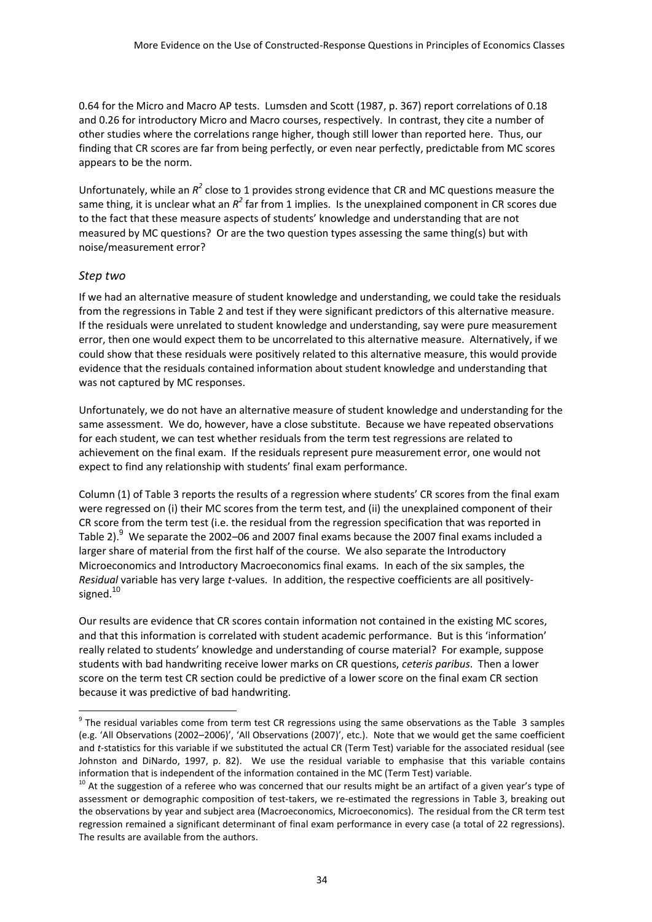0.64 for the Micro and Macro AP tests. Lumsden and Scott (1987, p. 367) report correlations of 0.18 and 0.26 for introductory Micro and Macro courses, respectively. In contrast, they cite a number of other studies where the correlations range higher, though still lower than reported here. Thus, our finding that CR scores are far from being perfectly, or even near perfectly, predictable from MC scores appears to be the norm.

Unfortunately, while an  $R^2$  close to 1 provides strong evidence that CR and MC questions measure the same thing, it is unclear what an  $R^2$  far from 1 implies. Is the unexplained component in CR scores due to the fact that these measure aspects of students' knowledge and understanding that are not measured by MC questions? Or are the two question types assessing the same thing(s) but with noise/measurement error?

#### *Step two*

-

If we had an alternative measure of student knowledge and understanding, we could take the residuals from the regressions in Table 2 and test if they were significant predictors of this alternative measure. If the residuals were unrelated to student knowledge and understanding, say were pure measurement error, then one would expect them to be uncorrelated to this alternative measure. Alternatively, if we could show that these residuals were positively related to this alternative measure, this would provide evidence that the residuals contained information about student knowledge and understanding that was not captured by MC responses.

Unfortunately, we do not have an alternative measure of student knowledge and understanding for the same assessment. We do, however, have a close substitute. Because we have repeated observations for each student, we can test whether residuals from the term test regressions are related to achievement on the final exam. If the residuals represent pure measurement error, one would not expect to find any relationship with students' final exam performance.

Column (1) of Table 3 reports the results of a regression where students' CR scores from the final exam were regressed on (i) their MC scores from the term test, and (ii) the unexplained component of their CR score from the term test (i.e. the residual from the regression specification that was reported in Table 2). $^{9}$  We separate the 2002–06 and 2007 final exams because the 2007 final exams included a larger share of material from the first half of the course. We also separate the Introductory Microeconomics and Introductory Macroeconomics final exams. In each of the six samples, the *Residual* variable has very large *t*-values. In addition, the respective coefficients are all positivelysigned.<sup>10</sup>

Our results are evidence that CR scores contain information not contained in the existing MC scores, and that this information is correlated with student academic performance. But is this 'information' really related to students' knowledge and understanding of course material? For example, suppose students with bad handwriting receive lower marks on CR questions, *ceteris paribus*. Then a lower score on the term test CR section could be predictive of a lower score on the final exam CR section because it was predictive of bad handwriting.

 $9$  The residual variables come from term test CR regressions using the same observations as the Table 3 samples (e.g. 'All Observations (2002–2006)', 'All Observations (2007)', etc.). Note that we would get the same coefficient and *t*-statistics for this variable if we substituted the actual CR (Term Test) variable for the associated residual (see Johnston and DiNardo, 1997, p. 82). We use the residual variable to emphasise that this variable contains information that is independent of the information contained in the MC (Term Test) variable.

 $10$  At the suggestion of a referee who was concerned that our results might be an artifact of a given year's type of assessment or demographic composition of test-takers, we re-estimated the regressions in Table 3, breaking out the observations by year and subject area (Macroeconomics, Microeconomics). The residual from the CR term test regression remained a significant determinant of final exam performance in every case (a total of 22 regressions). The results are available from the authors.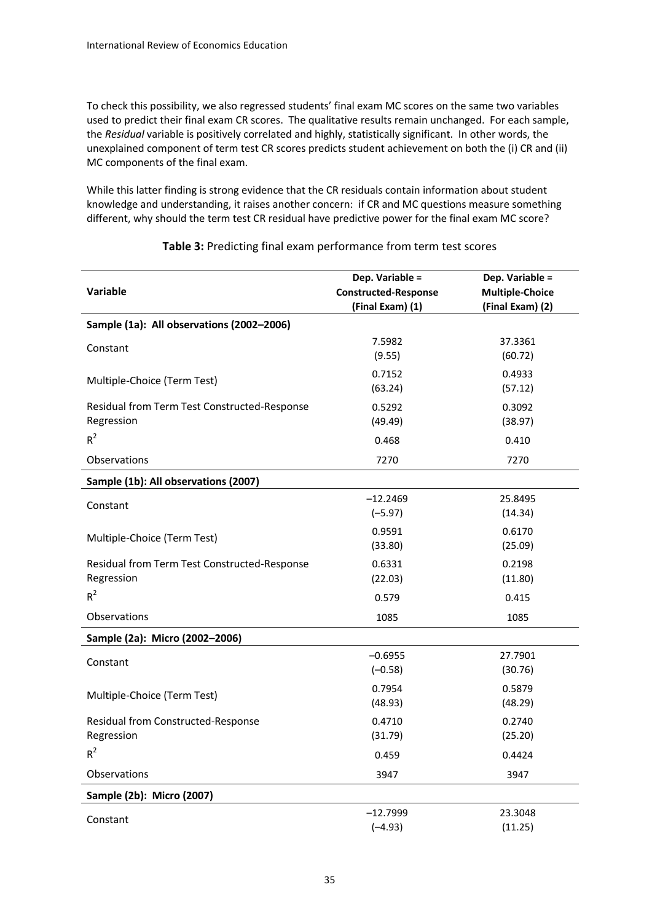To check this possibility, we also regressed students' final exam MC scores on the same two variables used to predict their final exam CR scores. The qualitative results remain unchanged. For each sample, the *Residual* variable is positively correlated and highly, statistically significant. In other words, the unexplained component of term test CR scores predicts student achievement on both the (i) CR and (ii) MC components of the final exam.

While this latter finding is strong evidence that the CR residuals contain information about student knowledge and understanding, it raises another concern: if CR and MC questions measure something different, why should the term test CR residual have predictive power for the final exam MC score?

| Variable                                                   | Dep. Variable =<br><b>Constructed-Response</b><br>(Final Exam) (1) | Dep. Variable =<br><b>Multiple-Choice</b><br>(Final Exam) (2) |
|------------------------------------------------------------|--------------------------------------------------------------------|---------------------------------------------------------------|
| Sample (1a): All observations (2002-2006)                  |                                                                    |                                                               |
| Constant                                                   | 7.5982<br>(9.55)                                                   | 37.3361<br>(60.72)                                            |
| Multiple-Choice (Term Test)                                | 0.7152<br>(63.24)                                                  | 0.4933<br>(57.12)                                             |
| Residual from Term Test Constructed-Response<br>Regression | 0.5292<br>(49.49)                                                  | 0.3092<br>(38.97)                                             |
| $R^2$                                                      | 0.468                                                              | 0.410                                                         |
| Observations                                               | 7270                                                               | 7270                                                          |
| Sample (1b): All observations (2007)                       |                                                                    |                                                               |
| Constant                                                   | $-12.2469$<br>$(-5.97)$                                            | 25.8495<br>(14.34)                                            |
| Multiple-Choice (Term Test)                                | 0.9591<br>(33.80)                                                  | 0.6170<br>(25.09)                                             |
| Residual from Term Test Constructed-Response<br>Regression | 0.6331<br>(22.03)                                                  | 0.2198<br>(11.80)                                             |
| $R^2$                                                      | 0.579                                                              | 0.415                                                         |
| Observations                                               | 1085                                                               | 1085                                                          |
| Sample (2a): Micro (2002-2006)                             |                                                                    |                                                               |
| Constant                                                   | $-0.6955$<br>$(-0.58)$                                             | 27.7901<br>(30.76)                                            |
| Multiple-Choice (Term Test)                                | 0.7954<br>(48.93)                                                  | 0.5879<br>(48.29)                                             |
| Residual from Constructed-Response<br>Regression           | 0.4710<br>(31.79)                                                  | 0.2740<br>(25.20)                                             |
| $R^2$                                                      | 0.459                                                              | 0.4424                                                        |
| Observations                                               | 3947                                                               | 3947                                                          |
| Sample (2b): Micro (2007)                                  |                                                                    |                                                               |
| Constant                                                   | $-12.7999$<br>$(-4.93)$                                            | 23.3048<br>(11.25)                                            |

## **Table 3:** Predicting final exam performance from term test scores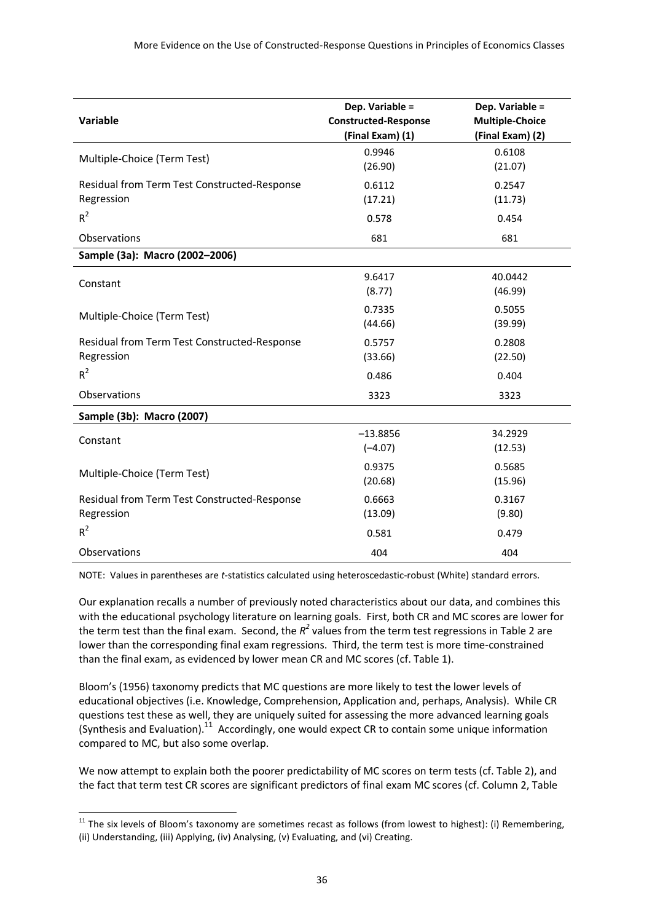| Variable                                                   | Dep. Variable =<br><b>Constructed-Response</b><br>(Final Exam) (1) | Dep. Variable =<br><b>Multiple-Choice</b><br>(Final Exam) (2) |
|------------------------------------------------------------|--------------------------------------------------------------------|---------------------------------------------------------------|
| Multiple-Choice (Term Test)                                | 0.9946<br>(26.90)                                                  | 0.6108<br>(21.07)                                             |
| Residual from Term Test Constructed-Response<br>Regression | 0.6112<br>(17.21)                                                  | 0.2547<br>(11.73)                                             |
| $R^2$                                                      | 0.578                                                              | 0.454                                                         |
| Observations                                               | 681                                                                | 681                                                           |
| Sample (3a): Macro (2002-2006)                             |                                                                    |                                                               |
| Constant                                                   | 9.6417<br>(8.77)                                                   | 40.0442<br>(46.99)                                            |
| Multiple-Choice (Term Test)                                | 0.7335<br>(44.66)                                                  | 0.5055<br>(39.99)                                             |
| Residual from Term Test Constructed-Response<br>Regression | 0.5757<br>(33.66)                                                  | 0.2808<br>(22.50)                                             |
| $R^2$                                                      | 0.486                                                              | 0.404                                                         |
| Observations                                               | 3323                                                               | 3323                                                          |
| Sample (3b): Macro (2007)                                  |                                                                    |                                                               |
| Constant                                                   | $-13.8856$<br>$(-4.07)$                                            | 34.2929<br>(12.53)                                            |
| Multiple-Choice (Term Test)                                | 0.9375<br>(20.68)                                                  | 0.5685<br>(15.96)                                             |
| Residual from Term Test Constructed-Response<br>Regression | 0.6663<br>(13.09)                                                  | 0.3167<br>(9.80)                                              |
| $R^2$                                                      | 0.581                                                              | 0.479                                                         |
| Observations                                               | 404                                                                | 404                                                           |

NOTE: Values in parentheses are *t-*statistics calculated using heteroscedastic-robust (White) standard errors.

Our explanation recalls a number of previously noted characteristics about our data, and combines this with the educational psychology literature on learning goals. First, both CR and MC scores are lower for the term test than the final exam. Second, the  $R^2$  values from the term test regressions in Table 2 are lower than the corresponding final exam regressions. Third, the term test is more time-constrained than the final exam, as evidenced by lower mean CR and MC scores (cf. Table 1).

Bloom's (1956) taxonomy predicts that MC questions are more likely to test the lower levels of educational objectives (i.e. Knowledge, Comprehension, Application and, perhaps, Analysis). While CR questions test these as well, they are uniquely suited for assessing the more advanced learning goals (Synthesis and Evaluation).<sup>11</sup> Accordingly, one would expect CR to contain some unique information compared to MC, but also some overlap.

We now attempt to explain both the poorer predictability of MC scores on term tests (cf. Table 2), and the fact that term test CR scores are significant predictors of final exam MC scores (cf. Column 2, Table

-

 $11$  The six levels of Bloom's taxonomy are sometimes recast as follows (from lowest to highest): (i) Remembering, (ii) Understanding, (iii) Applying, (iv) Analysing, (v) Evaluating, and (vi) Creating.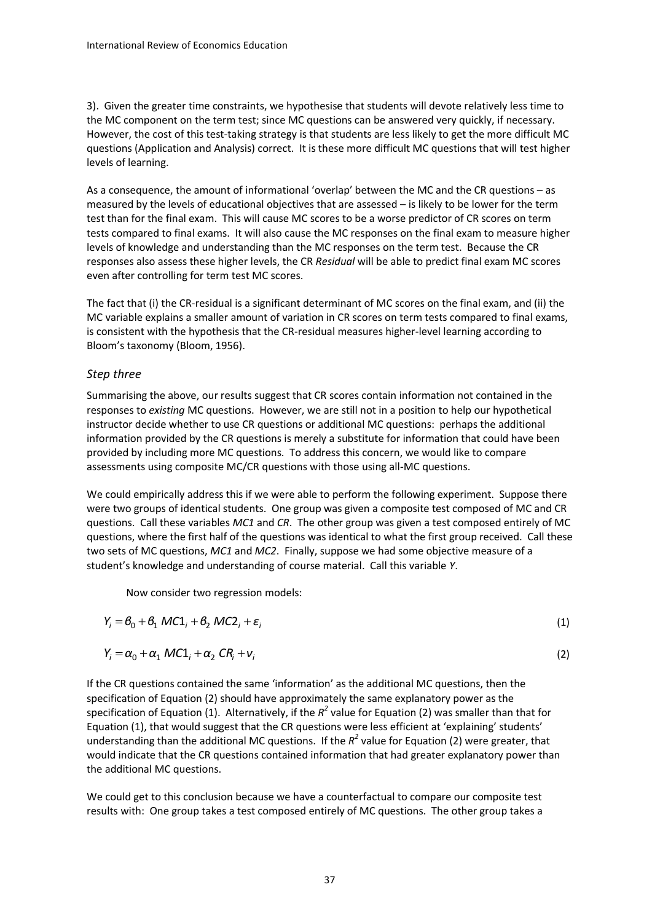3). Given the greater time constraints, we hypothesise that students will devote relatively less time to the MC component on the term test; since MC questions can be answered very quickly, if necessary. However, the cost of this test-taking strategy is that students are less likely to get the more difficult MC questions (Application and Analysis) correct. It is these more difficult MC questions that will test higher levels of learning.

As a consequence, the amount of informational 'overlap' between the MC and the CR questions – as measured by the levels of educational objectives that are assessed – is likely to be lower for the term test than for the final exam. This will cause MC scores to be a worse predictor of CR scores on term tests compared to final exams. It will also cause the MC responses on the final exam to measure higher levels of knowledge and understanding than the MC responses on the term test. Because the CR responses also assess these higher levels, the CR *Residual* will be able to predict final exam MC scores even after controlling for term test MC scores.

The fact that (i) the CR-residual is a significant determinant of MC scores on the final exam, and (ii) the MC variable explains a smaller amount of variation in CR scores on term tests compared to final exams, is consistent with the hypothesis that the CR-residual measures higher-level learning according to Bloom's taxonomy (Bloom, 1956).

#### *Step three*

Summarising the above, our results suggest that CR scores contain information not contained in the responses to *existing* MC questions. However, we are still not in a position to help our hypothetical instructor decide whether to use CR questions or additional MC questions: perhaps the additional information provided by the CR questions is merely a substitute for information that could have been provided by including more MC questions. To address this concern, we would like to compare assessments using composite MC/CR questions with those using all-MC questions.

We could empirically address this if we were able to perform the following experiment. Suppose there were two groups of identical students. One group was given a composite test composed of MC and CR questions. Call these variables *MC1* and *CR*. The other group was given a test composed entirely of MC questions, where the first half of the questions was identical to what the first group received. Call these two sets of MC questions, *MC1* and *MC2*. Finally, suppose we had some objective measure of a student's knowledge and understanding of course material. Call this variable *Y*.

Now consider two regression models:

$$
Y_i = \mathcal{B}_0 + \mathcal{B}_1 M C 1_i + \mathcal{B}_2 M C 2_i + \varepsilon_i
$$
 (1)

$$
Y_i = \alpha_0 + \alpha_1 \, MCl_i + \alpha_2 \, CR_i + v_i \tag{2}
$$

If the CR questions contained the same 'information' as the additional MC questions, then the specification of Equation (2) should have approximately the same explanatory power as the specification of Equation (1). Alternatively, if the  $R^2$  value for Equation (2) was smaller than that for Equation (1), that would suggest that the CR questions were less efficient at 'explaining' students' understanding than the additional MC questions. If the  $R^2$  value for Equation (2) were greater, that would indicate that the CR questions contained information that had greater explanatory power than the additional MC questions.

We could get to this conclusion because we have a counterfactual to compare our composite test results with: One group takes a test composed entirely of MC questions. The other group takes a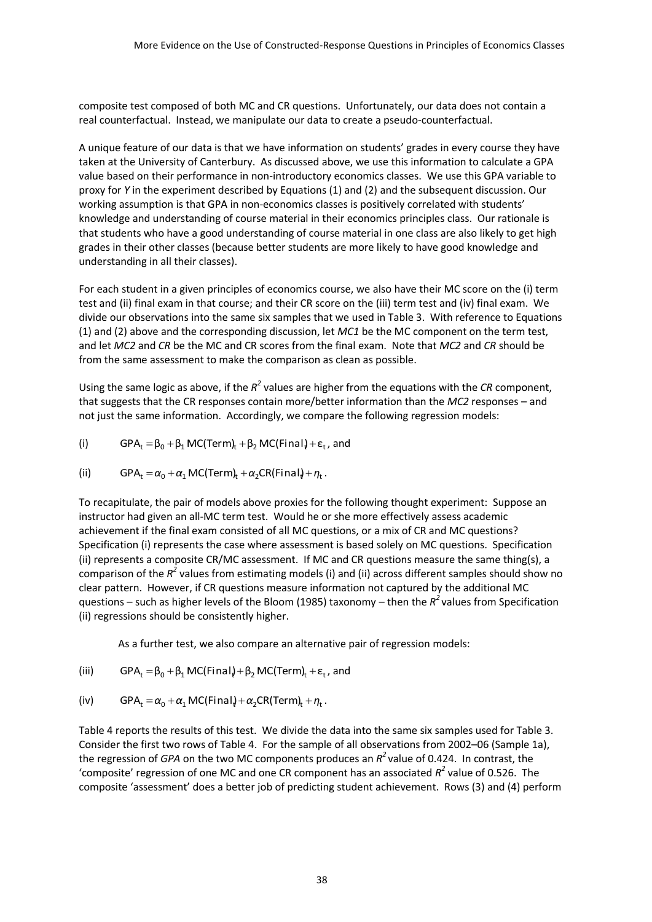composite test composed of both MC and CR questions. Unfortunately, our data does not contain a real counterfactual. Instead, we manipulate our data to create a pseudo-counterfactual.

A unique feature of our data is that we have information on students' grades in every course they have taken at the University of Canterbury. As discussed above, we use this information to calculate a GPA value based on their performance in non-introductory economics classes. We use this GPA variable to proxy for *Y* in the experiment described by Equations (1) and (2) and the subsequent discussion. Our working assumption is that GPA in non-economics classes is positively correlated with students' knowledge and understanding of course material in their economics principles class. Our rationale is that students who have a good understanding of course material in one class are also likely to get high grades in their other classes (because better students are more likely to have good knowledge and understanding in all their classes).

For each student in a given principles of economics course, we also have their MC score on the (i) term test and (ii) final exam in that course; and their CR score on the (iii) term test and (iv) final exam. We divide our observations into the same six samples that we used in Table 3. With reference to Equations (1) and (2) above and the corresponding discussion, let *MC1* be the MC component on the term test, and let *MC2* and *CR* be the MC and CR scores from the final exam. Note that *MC2* and *CR* should be from the same assessment to make the comparison as clean as possible.

Using the same logic as above, if the  $R^2$  values are higher from the equations with the *CR* component, that suggests that the CR responses contain more/better information than the *MC2* responses – and not just the same information. Accordingly, we compare the following regression models:

(i)  $\mathsf{GPA}_{\mathsf{t}} = \beta_0 + \beta_1 \, \mathsf{MC}(\mathsf{Term})_{\mathsf{t}} + \beta_2 \, \mathsf{MC}(\mathsf{Final}^{\mathsf{t}}_{\mathsf{t}} + \varepsilon_{\mathsf{t}}^{\mathsf{t}}, \mathsf{and}$ 

(ii) 
$$
GPA_t = \alpha_0 + \alpha_1 MC(Term)_t + \alpha_2 CR(Final) + \eta_t.
$$

To recapitulate, the pair of models above proxies for the following thought experiment: Suppose an instructor had given an all-MC term test. Would he or she more effectively assess academic achievement if the final exam consisted of all MC questions, or a mix of CR and MC questions? Specification (i) represents the case where assessment is based solely on MC questions. Specification (ii) represents a composite CR/MC assessment. If MC and CR questions measure the same thing(s), a comparison of the  $R^2$  values from estimating models (i) and (ii) across different samples should show no clear pattern. However, if CR questions measure information not captured by the additional MC questions – such as higher levels of the Bloom (1985) taxonomy – then the  $R^2$  values from Specification (ii) regressions should be consistently higher.

As a further test, we also compare an alternative pair of regression models:

(iii)  $\mathsf{GPA}_{\mathsf{t}} = \beta_{0} + \beta_{1} \, \mathsf{MC}(\mathsf{Final}_{\mathsf{t}} + \beta_{2} \, \mathsf{MC}(\mathsf{Term})_{\mathsf{t}} + \varepsilon_{\mathsf{t}}$  , and

(iv) 
$$
GPA_t = \alpha_0 + \alpha_1 MC(Final_t) + \alpha_2 CR(Term_t) + \eta_t.
$$

Table 4 reports the results of this test. We divide the data into the same six samples used for Table 3. Consider the first two rows of Table 4. For the sample of all observations from 2002–06 (Sample 1a), the regression of *GPA* on the two MC components produces an  $R^2$  value of 0.424. In contrast, the 'composite' regression of one MC and one CR component has an associated  $R^2$  value of 0.526. The composite 'assessment' does a better job of predicting student achievement. Rows (3) and (4) perform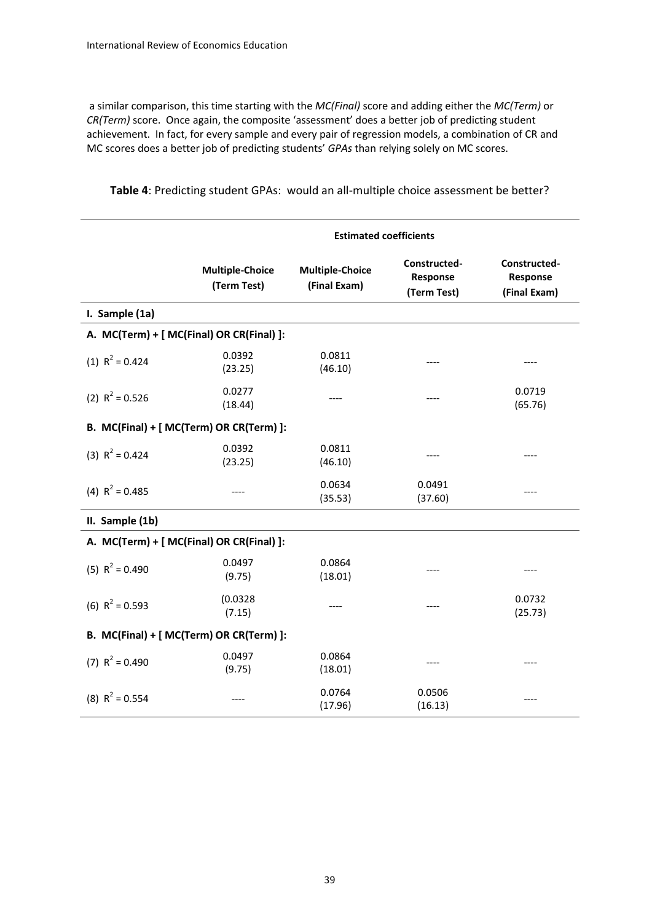a similar comparison, this time starting with the *MC(Final)* score and adding either the *MC(Term)* or *CR(Term)* score. Once again, the composite 'assessment' does a better job of predicting student achievement. In fact, for every sample and every pair of regression models, a combination of CR and MC scores does a better job of predicting students' *GPAs* than relying solely on MC scores.

|                                           | <b>Estimated coefficients</b>         |                                        |                                         |                                          |
|-------------------------------------------|---------------------------------------|----------------------------------------|-----------------------------------------|------------------------------------------|
|                                           | <b>Multiple-Choice</b><br>(Term Test) | <b>Multiple-Choice</b><br>(Final Exam) | Constructed-<br>Response<br>(Term Test) | Constructed-<br>Response<br>(Final Exam) |
| I. Sample (1a)                            |                                       |                                        |                                         |                                          |
| A. MC(Term) + [ MC(Final) OR CR(Final) ]: |                                       |                                        |                                         |                                          |
| (1) $R^2 = 0.424$                         | 0.0392<br>(23.25)                     | 0.0811<br>(46.10)                      | ----                                    | ----                                     |
| (2) $R^2 = 0.526$                         | 0.0277<br>(18.44)                     | ----                                   | ----                                    | 0.0719<br>(65.76)                        |
| B. MC(Final) + [ MC(Term) OR CR(Term) ]:  |                                       |                                        |                                         |                                          |
| (3) $R^2 = 0.424$                         | 0.0392<br>(23.25)                     | 0.0811<br>(46.10)                      | ----                                    | ----                                     |
| (4) $R^2 = 0.485$                         |                                       | 0.0634<br>(35.53)                      | 0.0491<br>(37.60)                       |                                          |
| II. Sample (1b)                           |                                       |                                        |                                         |                                          |
| A. MC(Term) + [ MC(Final) OR CR(Final) ]: |                                       |                                        |                                         |                                          |
| $(5)$ R <sup>2</sup> = 0.490              | 0.0497<br>(9.75)                      | 0.0864<br>(18.01)                      | ----                                    |                                          |
| (6) $R^2 = 0.593$                         | (0.0328)<br>(7.15)                    | ----                                   | ----                                    | 0.0732<br>(25.73)                        |
| B. MC(Final) + [ MC(Term) OR CR(Term) ]:  |                                       |                                        |                                         |                                          |
| $(7)$ R <sup>2</sup> = 0.490              | 0.0497<br>(9.75)                      | 0.0864<br>(18.01)                      | ----                                    |                                          |
| (8) $R^2 = 0.554$                         |                                       | 0.0764<br>(17.96)                      | 0.0506<br>(16.13)                       |                                          |

**Table 4**: Predicting student GPAs: would an all-multiple choice assessment be better?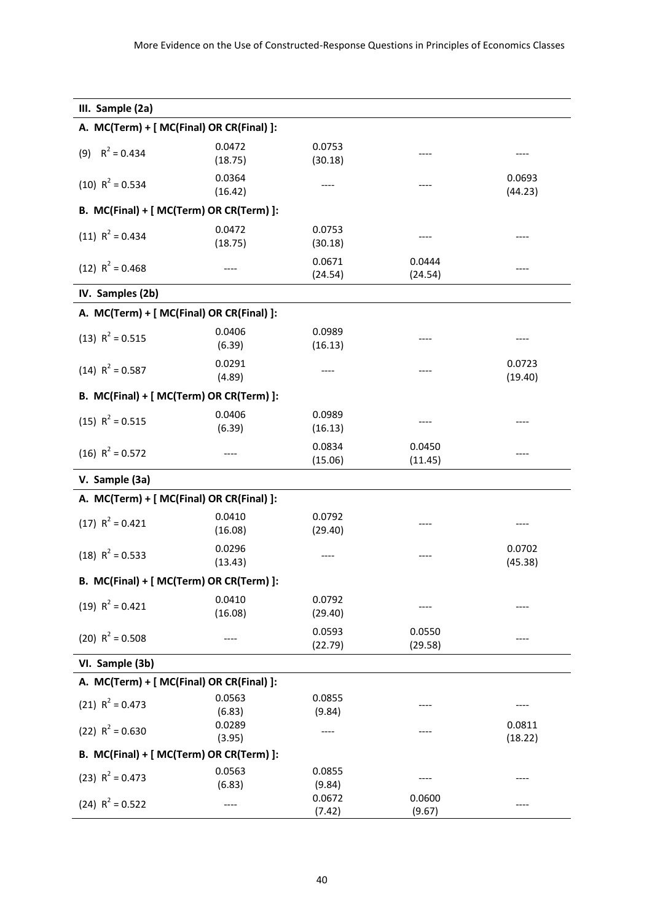| III. Sample (2a)                          |                   |                   |                   |                   |
|-------------------------------------------|-------------------|-------------------|-------------------|-------------------|
| A. MC(Term) + [ MC(Final) OR CR(Final) ]: |                   |                   |                   |                   |
|                                           |                   |                   |                   |                   |
| (9) $R^2 = 0.434$                         | 0.0472<br>(18.75) | 0.0753<br>(30.18) |                   |                   |
| $(10)$ R <sup>2</sup> = 0.534             | 0.0364<br>(16.42) | ----              |                   | 0.0693<br>(44.23) |
| B. MC(Final) + [ MC(Term) OR CR(Term) ]:  |                   |                   |                   |                   |
| $(11)$ R <sup>2</sup> = 0.434             | 0.0472<br>(18.75) | 0.0753<br>(30.18) |                   |                   |
| $(12)$ R <sup>2</sup> = 0.468             |                   | 0.0671<br>(24.54) | 0.0444<br>(24.54) |                   |
| IV. Samples (2b)                          |                   |                   |                   |                   |
| A. MC(Term) + [ MC(Final) OR CR(Final) ]: |                   |                   |                   |                   |
| (13) $R^2 = 0.515$                        | 0.0406<br>(6.39)  | 0.0989<br>(16.13) |                   |                   |
| $(14)$ R <sup>2</sup> = 0.587             | 0.0291<br>(4.89)  | ----              |                   | 0.0723<br>(19.40) |
| B. MC(Final) + [ MC(Term) OR CR(Term) ]:  |                   |                   |                   |                   |
| $(15)$ R <sup>2</sup> = 0.515             | 0.0406<br>(6.39)  | 0.0989<br>(16.13) |                   |                   |
| $(16)$ R <sup>2</sup> = 0.572             |                   | 0.0834<br>(15.06) | 0.0450<br>(11.45) |                   |
| V. Sample (3a)                            |                   |                   |                   |                   |
| A. MC(Term) + [ MC(Final) OR CR(Final) ]: |                   |                   |                   |                   |
| $(17)$ R <sup>2</sup> = 0.421             | 0.0410<br>(16.08) | 0.0792<br>(29.40) |                   |                   |
| $(18)$ R <sup>2</sup> = 0.533             | 0.0296<br>(13.43) |                   | ----              | 0.0702<br>(45.38) |
| B. MC(Final) + [ MC(Term) OR CR(Term) ]:  |                   |                   |                   |                   |
| (19) $R^2 = 0.421$                        | 0.0410<br>(16.08) | 0.0792<br>(29.40) | ----              |                   |
| $(20)$ R <sup>2</sup> = 0.508             |                   | 0.0593<br>(22.79) | 0.0550<br>(29.58) |                   |
| VI. Sample (3b)                           |                   |                   |                   |                   |
| A. MC(Term) + [ MC(Final) OR CR(Final) ]: |                   |                   |                   |                   |
| $(21)$ R <sup>2</sup> = 0.473             | 0.0563<br>(6.83)  | 0.0855<br>(9.84)  |                   |                   |
| $(22)$ R <sup>2</sup> = 0.630             | 0.0289<br>(3.95)  |                   |                   | 0.0811<br>(18.22) |
| B. MC(Final) + [ MC(Term) OR CR(Term) ]:  |                   |                   |                   |                   |
| $(23)$ R <sup>2</sup> = 0.473             | 0.0563<br>(6.83)  | 0.0855<br>(9.84)  |                   |                   |
| $(24)$ R <sup>2</sup> = 0.522             |                   | 0.0672<br>(7.42)  | 0.0600<br>(9.67)  |                   |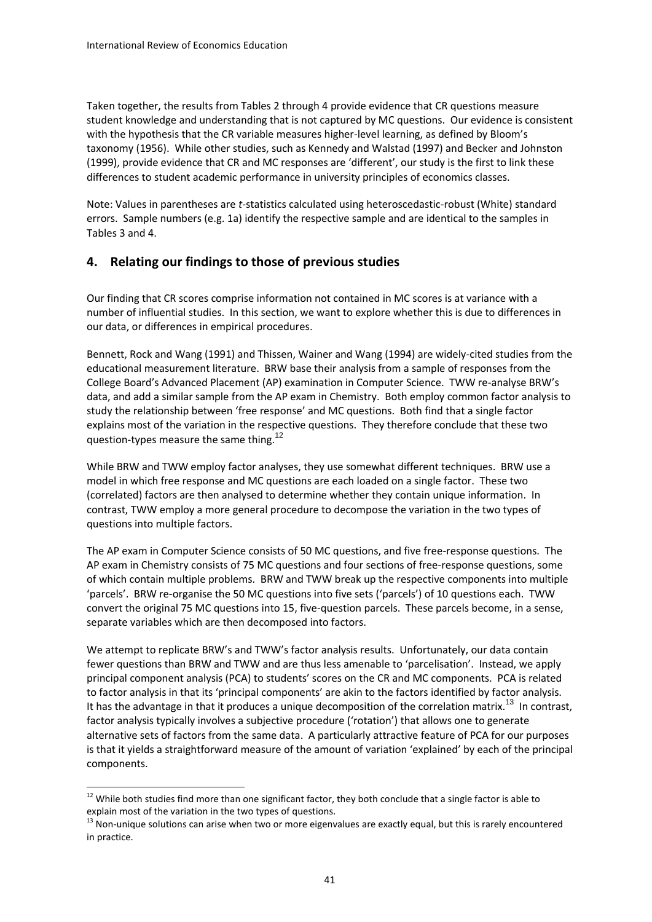Taken together, the results from Tables 2 through 4 provide evidence that CR questions measure student knowledge and understanding that is not captured by MC questions. Our evidence is consistent with the hypothesis that the CR variable measures higher-level learning, as defined by Bloom's taxonomy (1956). While other studies, such as Kennedy and Walstad (1997) and Becker and Johnston (1999), provide evidence that CR and MC responses are 'different', our study is the first to link these differences to student academic performance in university principles of economics classes.

Note: Values in parentheses are *t-*statistics calculated using heteroscedastic-robust (White) standard errors. Sample numbers (e.g. 1a) identify the respective sample and are identical to the samples in Tables 3 and 4.

# **4. Relating our findings to those of previous studies**

Our finding that CR scores comprise information not contained in MC scores is at variance with a number of influential studies. In this section, we want to explore whether this is due to differences in our data, or differences in empirical procedures.

Bennett, Rock and Wang (1991) and Thissen, Wainer and Wang (1994) are widely-cited studies from the educational measurement literature. BRW base their analysis from a sample of responses from the College Board's Advanced Placement (AP) examination in Computer Science. TWW re-analyse BRW's data, and add a similar sample from the AP exam in Chemistry. Both employ common factor analysis to study the relationship between 'free response' and MC questions. Both find that a single factor explains most of the variation in the respective questions. They therefore conclude that these two question-types measure the same thing.<sup>12</sup>

While BRW and TWW employ factor analyses, they use somewhat different techniques. BRW use a model in which free response and MC questions are each loaded on a single factor. These two (correlated) factors are then analysed to determine whether they contain unique information. In contrast, TWW employ a more general procedure to decompose the variation in the two types of questions into multiple factors.

The AP exam in Computer Science consists of 50 MC questions, and five free-response questions. The AP exam in Chemistry consists of 75 MC questions and four sections of free-response questions, some of which contain multiple problems. BRW and TWW break up the respective components into multiple 'parcels'. BRW re-organise the 50 MC questions into five sets ('parcels') of 10 questions each. TWW convert the original 75 MC questions into 15, five-question parcels. These parcels become, in a sense, separate variables which are then decomposed into factors.

We attempt to replicate BRW's and TWW's factor analysis results. Unfortunately, our data contain fewer questions than BRW and TWW and are thus less amenable to 'parcelisation'. Instead, we apply principal component analysis (PCA) to students' scores on the CR and MC components. PCA is related to factor analysis in that its 'principal components' are akin to the factors identified by factor analysis. It has the advantage in that it produces a unique decomposition of the correlation matrix.<sup>13</sup> In contrast, factor analysis typically involves a subjective procedure ('rotation') that allows one to generate alternative sets of factors from the same data. A particularly attractive feature of PCA for our purposes is that it yields a straightforward measure of the amount of variation 'explained' by each of the principal components.

 $12$  While both studies find more than one significant factor, they both conclude that a single factor is able to explain most of the variation in the two types of questions.

<sup>&</sup>lt;sup>13</sup> Non-unique solutions can arise when two or more eigenvalues are exactly equal, but this is rarely encountered in practice.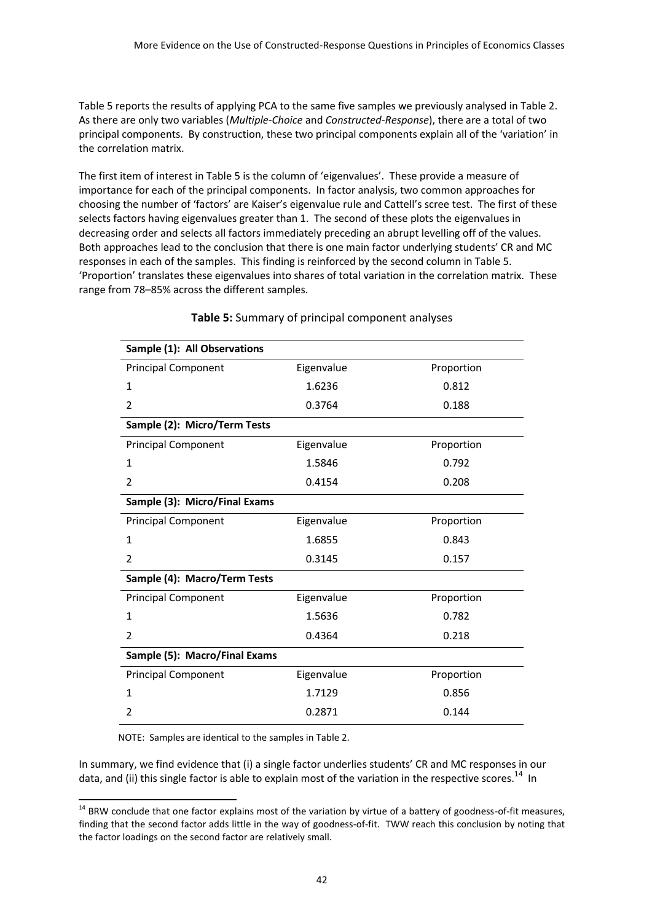Table 5 reports the results of applying PCA to the same five samples we previously analysed in Table 2. As there are only two variables (*Multiple-Choice* and *Constructed-Response*), there are a total of two principal components. By construction, these two principal components explain all of the 'variation' in the correlation matrix.

The first item of interest in Table 5 is the column of 'eigenvalues'. These provide a measure of importance for each of the principal components. In factor analysis, two common approaches for choosing the number of 'factors' are Kaiser's eigenvalue rule and Cattell's scree test. The first of these selects factors having eigenvalues greater than 1. The second of these plots the eigenvalues in decreasing order and selects all factors immediately preceding an abrupt levelling off of the values. Both approaches lead to the conclusion that there is one main factor underlying students' CR and MC responses in each of the samples. This finding is reinforced by the second column in Table 5. 'Proportion' translates these eigenvalues into shares of total variation in the correlation matrix. These range from 78–85% across the different samples.

| Sample (1): All Observations  |            |            |
|-------------------------------|------------|------------|
| <b>Principal Component</b>    | Eigenvalue | Proportion |
| 1                             | 1.6236     | 0.812      |
| $\overline{2}$                | 0.3764     | 0.188      |
| Sample (2): Micro/Term Tests  |            |            |
| <b>Principal Component</b>    | Eigenvalue | Proportion |
| $\mathbf{1}$                  | 1.5846     | 0.792      |
| 2                             | 0.4154     | 0.208      |
| Sample (3): Micro/Final Exams |            |            |
| <b>Principal Component</b>    | Eigenvalue | Proportion |
| 1                             | 1.6855     | 0.843      |
| $\overline{2}$                | 0.3145     | 0.157      |
| Sample (4): Macro/Term Tests  |            |            |
| <b>Principal Component</b>    | Eigenvalue | Proportion |
| $\mathbf{1}$                  | 1.5636     | 0.782      |
| 2                             | 0.4364     | 0.218      |
| Sample (5): Macro/Final Exams |            |            |
| <b>Principal Component</b>    | Eigenvalue | Proportion |
| 1                             | 1.7129     | 0.856      |
| $\overline{2}$                | 0.2871     | 0.144      |

### **Table 5:** Summary of principal component analyses

NOTE: Samples are identical to the samples in Table 2.

-

In summary, we find evidence that (i) a single factor underlies students' CR and MC responses in our data, and (ii) this single factor is able to explain most of the variation in the respective scores.<sup>14</sup> In

 $14$  BRW conclude that one factor explains most of the variation by virtue of a battery of goodness-of-fit measures, finding that the second factor adds little in the way of goodness-of-fit. TWW reach this conclusion by noting that the factor loadings on the second factor are relatively small.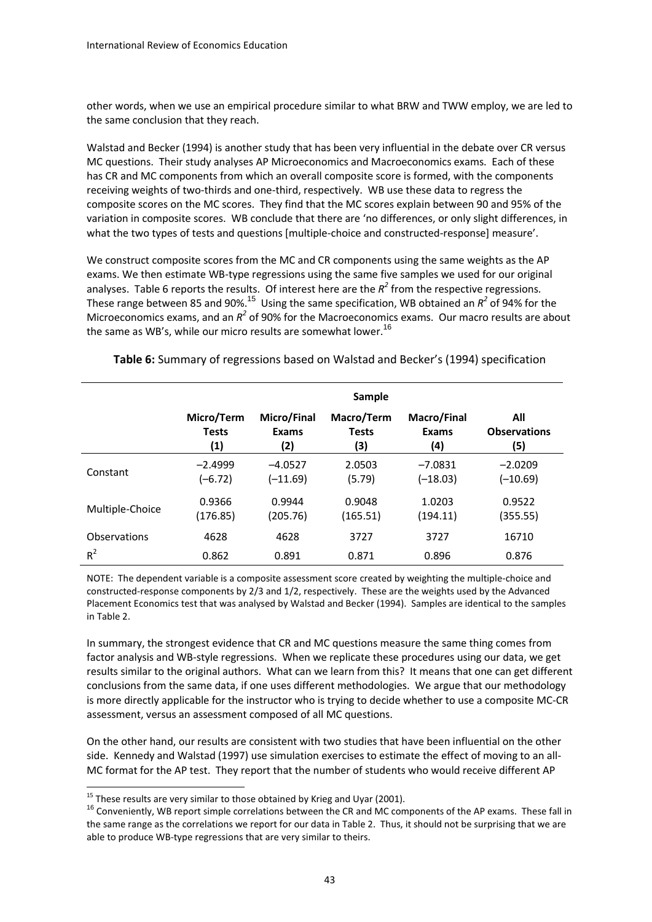other words, when we use an empirical procedure similar to what BRW and TWW employ, we are led to the same conclusion that they reach.

Walstad and Becker (1994) is another study that has been very influential in the debate over CR versus MC questions. Their study analyses AP Microeconomics and Macroeconomics exams. Each of these has CR and MC components from which an overall composite score is formed, with the components receiving weights of two-thirds and one-third, respectively. WB use these data to regress the composite scores on the MC scores. They find that the MC scores explain between 90 and 95% of the variation in composite scores. WB conclude that there are 'no differences, or only slight differences, in what the two types of tests and questions [multiple-choice and constructed-response] measure'.

We construct composite scores from the MC and CR components using the same weights as the AP exams. We then estimate WB-type regressions using the same five samples we used for our original analyses. Table 6 reports the results. Of interest here are the  $R^2$  from the respective regressions. These range between 85 and 90%.<sup>15</sup> Using the same specification, WB obtained an  $R^2$  of 94% for the Microeconomics exams, and an  $R^2$  of 90% for the Macroeconomics exams. Our macro results are about the same as WB's, while our micro results are somewhat lower.<sup>16</sup>

|                 |                   |             | Sample       |                    |                     |
|-----------------|-------------------|-------------|--------------|--------------------|---------------------|
|                 | Micro/Term        | Micro/Final | Macro/Term   | <b>Macro/Final</b> | All                 |
|                 | <b>Tests</b>      | Exams       | <b>Tests</b> | Exams              | <b>Observations</b> |
|                 | $\left( 1\right)$ | (2)         | (3)          | (4)                | (5)                 |
| Constant        | $-2.4999$         | $-4.0527$   | 2.0503       | $-7.0831$          | $-2.0209$           |
|                 | (–6.72)           | $(-11.69)$  | (5.79)       | $(-18.03)$         | $(-10.69)$          |
| Multiple-Choice | 0.9366            | 0.9944      | 0.9048       | 1.0203             | 0.9522              |
|                 | (176.85)          | (205.76)    | (165.51)     | (194.11)           | (355.55)            |
| Observations    | 4628              | 4628        | 3727         | 3727               | 16710               |
| $R^2$           | 0.862             | 0.891       | 0.871        | 0.896              | 0.876               |

**Table 6:** Summary of regressions based on Walstad and Becker's (1994) specification

NOTE: The dependent variable is a composite assessment score created by weighting the multiple-choice and constructed-response components by 2/3 and 1/2, respectively. These are the weights used by the Advanced Placement Economics test that was analysed by Walstad and Becker (1994). Samples are identical to the samples in Table 2.

In summary, the strongest evidence that CR and MC questions measure the same thing comes from factor analysis and WB-style regressions. When we replicate these procedures using our data, we get results similar to the original authors. What can we learn from this? It means that one can get different conclusions from the same data, if one uses different methodologies. We argue that our methodology is more directly applicable for the instructor who is trying to decide whether to use a composite MC-CR assessment, versus an assessment composed of all MC questions.

On the other hand, our results are consistent with two studies that have been influential on the other side. Kennedy and Walstad (1997) use simulation exercises to estimate the effect of moving to an all-MC format for the AP test. They report that the number of students who would receive different AP

 $^{15}$  These results are very similar to those obtained by Krieg and Uyar (2001).

<sup>&</sup>lt;sup>16</sup> Conveniently, WB report simple correlations between the CR and MC components of the AP exams. These fall in the same range as the correlations we report for our data in Table 2. Thus, it should not be surprising that we are able to produce WB-type regressions that are very similar to theirs.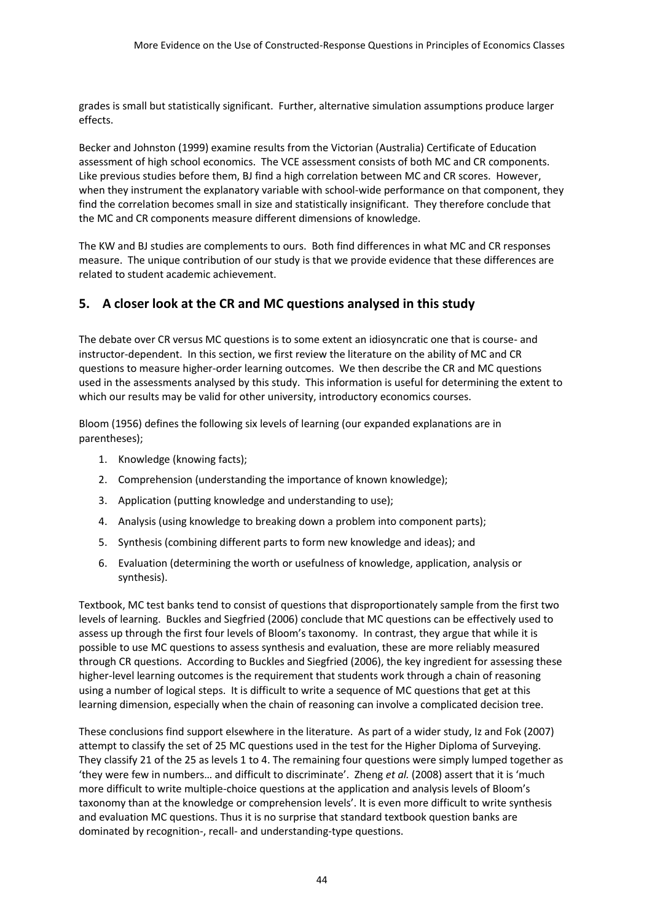grades is small but statistically significant. Further, alternative simulation assumptions produce larger effects.

Becker and Johnston (1999) examine results from the Victorian (Australia) Certificate of Education assessment of high school economics. The VCE assessment consists of both MC and CR components. Like previous studies before them, BJ find a high correlation between MC and CR scores. However, when they instrument the explanatory variable with school-wide performance on that component, they find the correlation becomes small in size and statistically insignificant. They therefore conclude that the MC and CR components measure different dimensions of knowledge.

The KW and BJ studies are complements to ours. Both find differences in what MC and CR responses measure. The unique contribution of our study is that we provide evidence that these differences are related to student academic achievement.

## **5. A closer look at the CR and MC questions analysed in this study**

The debate over CR versus MC questions is to some extent an idiosyncratic one that is course- and instructor-dependent. In this section, we first review the literature on the ability of MC and CR questions to measure higher-order learning outcomes. We then describe the CR and MC questions used in the assessments analysed by this study. This information is useful for determining the extent to which our results may be valid for other university, introductory economics courses.

Bloom (1956) defines the following six levels of learning (our expanded explanations are in parentheses);

- 1. Knowledge (knowing facts);
- 2. Comprehension (understanding the importance of known knowledge);
- 3. Application (putting knowledge and understanding to use);
- 4. Analysis (using knowledge to breaking down a problem into component parts);
- 5. Synthesis (combining different parts to form new knowledge and ideas); and
- 6. Evaluation (determining the worth or usefulness of knowledge, application, analysis or synthesis).

Textbook, MC test banks tend to consist of questions that disproportionately sample from the first two levels of learning. Buckles and Siegfried (2006) conclude that MC questions can be effectively used to assess up through the first four levels of Bloom's taxonomy. In contrast, they argue that while it is possible to use MC questions to assess synthesis and evaluation, these are more reliably measured through CR questions. According to Buckles and Siegfried (2006), the key ingredient for assessing these higher-level learning outcomes is the requirement that students work through a chain of reasoning using a number of logical steps. It is difficult to write a sequence of MC questions that get at this learning dimension, especially when the chain of reasoning can involve a complicated decision tree.

These conclusions find support elsewhere in the literature. As part of a wider study, Iz and Fok (2007) attempt to classify the set of 25 MC questions used in the test for the Higher Diploma of Surveying. They classify 21 of the 25 as levels 1 to 4. The remaining four questions were simply lumped together as 'they were few in numbers… and difficult to discriminate'. Zheng *et al.* (2008) assert that it is 'much more difficult to write multiple-choice questions at the application and analysis levels of Bloom's taxonomy than at the knowledge or comprehension levels'. It is even more difficult to write synthesis and evaluation MC questions. Thus it is no surprise that standard textbook question banks are dominated by recognition-, recall- and understanding-type questions.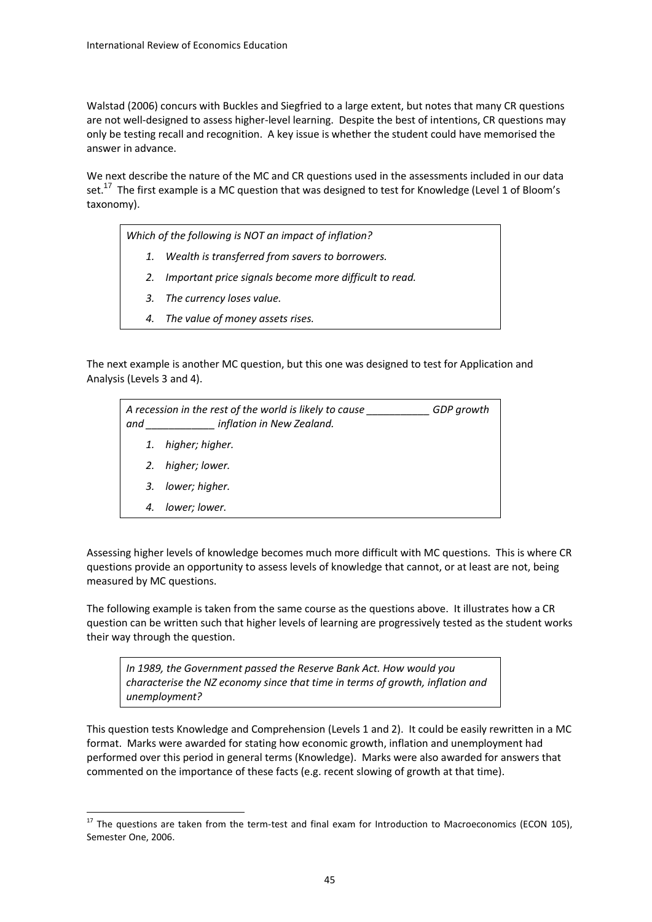Walstad (2006) concurs with Buckles and Siegfried to a large extent, but notes that many CR questions are not well-designed to assess higher-level learning. Despite the best of intentions, CR questions may only be testing recall and recognition. A key issue is whether the student could have memorised the answer in advance.

We next describe the nature of the MC and CR questions used in the assessments included in our data set.<sup>17</sup> The first example is a MC question that was designed to test for Knowledge (Level 1 of Bloom's taxonomy).

*Which of the following is NOT an impact of inflation?*

- *1. Wealth is transferred from savers to borrowers.*
- *2. Important price signals become more difficult to read.*
- *3. The currency loses value.*

 $\overline{a}$ 

*4. The value of money assets rises.*

The next example is another MC question, but this one was designed to test for Application and Analysis (Levels 3 and 4).

| and | A recession in the rest of the world is likely to cause<br>GDP growth<br>inflation in New Zealand. |
|-----|----------------------------------------------------------------------------------------------------|
|     | 1. higher; higher.                                                                                 |
| 2.  | higher; lower.                                                                                     |
| 3.  | lower; higher.                                                                                     |
| 4.  | lower; lower.                                                                                      |

Assessing higher levels of knowledge becomes much more difficult with MC questions. This is where CR questions provide an opportunity to assess levels of knowledge that cannot, or at least are not, being measured by MC questions.

The following example is taken from the same course as the questions above. It illustrates how a CR question can be written such that higher levels of learning are progressively tested as the student works their way through the question.

*In 1989, the Government passed the Reserve Bank Act. How would you characterise the NZ economy since that time in terms of growth, inflation and unemployment?*

This question tests Knowledge and Comprehension (Levels 1 and 2). It could be easily rewritten in a MC format. Marks were awarded for stating how economic growth, inflation and unemployment had performed over this period in general terms (Knowledge). Marks were also awarded for answers that commented on the importance of these facts (e.g. recent slowing of growth at that time).

 $17$  The questions are taken from the term-test and final exam for Introduction to Macroeconomics (ECON 105), Semester One, 2006.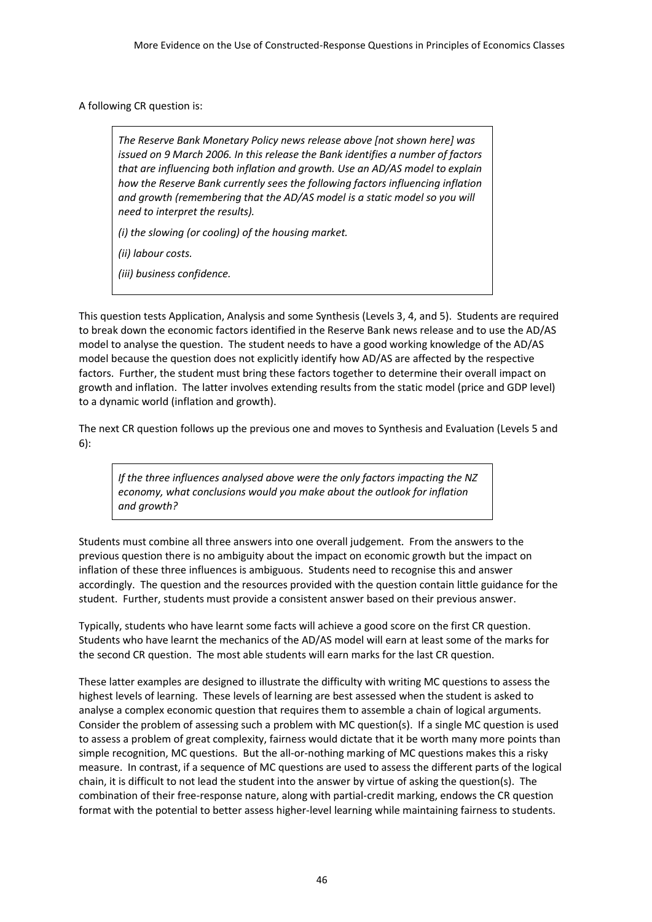A following CR question is:

*The Reserve Bank Monetary Policy news release above [not shown here] was issued on 9 March 2006. In this release the Bank identifies a number of factors that are influencing both inflation and growth. Use an AD/AS model to explain how the Reserve Bank currently sees the following factors influencing inflation and growth (remembering that the AD/AS model is a static model so you will need to interpret the results).*

*(i) the slowing (or cooling) of the housing market.*

*(ii) labour costs.*

*(iii) business confidence.*

This question tests Application, Analysis and some Synthesis (Levels 3, 4, and 5). Students are required to break down the economic factors identified in the Reserve Bank news release and to use the AD/AS model to analyse the question. The student needs to have a good working knowledge of the AD/AS model because the question does not explicitly identify how AD/AS are affected by the respective factors. Further, the student must bring these factors together to determine their overall impact on growth and inflation. The latter involves extending results from the static model (price and GDP level) to a dynamic world (inflation and growth).

The next CR question follows up the previous one and moves to Synthesis and Evaluation (Levels 5 and 6):

*If the three influences analysed above were the only factors impacting the NZ economy, what conclusions would you make about the outlook for inflation and growth?*

Students must combine all three answers into one overall judgement. From the answers to the previous question there is no ambiguity about the impact on economic growth but the impact on inflation of these three influences is ambiguous. Students need to recognise this and answer accordingly. The question and the resources provided with the question contain little guidance for the student. Further, students must provide a consistent answer based on their previous answer.

Typically, students who have learnt some facts will achieve a good score on the first CR question. Students who have learnt the mechanics of the AD/AS model will earn at least some of the marks for the second CR question. The most able students will earn marks for the last CR question.

These latter examples are designed to illustrate the difficulty with writing MC questions to assess the highest levels of learning. These levels of learning are best assessed when the student is asked to analyse a complex economic question that requires them to assemble a chain of logical arguments. Consider the problem of assessing such a problem with MC question(s). If a single MC question is used to assess a problem of great complexity, fairness would dictate that it be worth many more points than simple recognition, MC questions. But the all-or-nothing marking of MC questions makes this a risky measure. In contrast, if a sequence of MC questions are used to assess the different parts of the logical chain, it is difficult to not lead the student into the answer by virtue of asking the question(s). The combination of their free-response nature, along with partial-credit marking, endows the CR question format with the potential to better assess higher-level learning while maintaining fairness to students.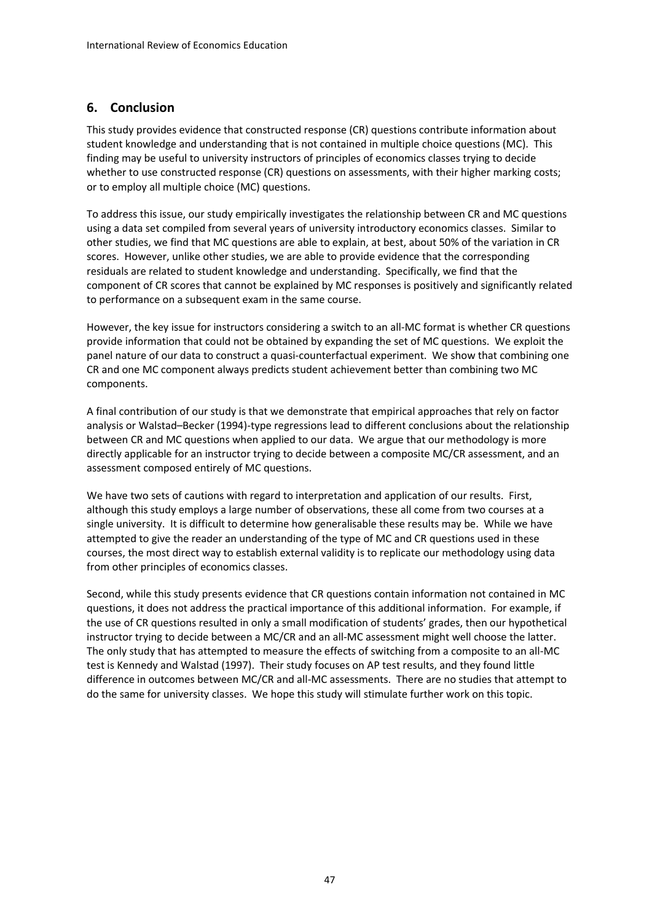# **6. Conclusion**

This study provides evidence that constructed response (CR) questions contribute information about student knowledge and understanding that is not contained in multiple choice questions (MC). This finding may be useful to university instructors of principles of economics classes trying to decide whether to use constructed response (CR) questions on assessments, with their higher marking costs; or to employ all multiple choice (MC) questions.

To address this issue, our study empirically investigates the relationship between CR and MC questions using a data set compiled from several years of university introductory economics classes. Similar to other studies, we find that MC questions are able to explain, at best, about 50% of the variation in CR scores. However, unlike other studies, we are able to provide evidence that the corresponding residuals are related to student knowledge and understanding. Specifically, we find that the component of CR scores that cannot be explained by MC responses is positively and significantly related to performance on a subsequent exam in the same course.

However, the key issue for instructors considering a switch to an all-MC format is whether CR questions provide information that could not be obtained by expanding the set of MC questions. We exploit the panel nature of our data to construct a quasi-counterfactual experiment. We show that combining one CR and one MC component always predicts student achievement better than combining two MC components.

A final contribution of our study is that we demonstrate that empirical approaches that rely on factor analysis or Walstad–Becker (1994)-type regressions lead to different conclusions about the relationship between CR and MC questions when applied to our data. We argue that our methodology is more directly applicable for an instructor trying to decide between a composite MC/CR assessment, and an assessment composed entirely of MC questions.

We have two sets of cautions with regard to interpretation and application of our results. First, although this study employs a large number of observations, these all come from two courses at a single university. It is difficult to determine how generalisable these results may be. While we have attempted to give the reader an understanding of the type of MC and CR questions used in these courses, the most direct way to establish external validity is to replicate our methodology using data from other principles of economics classes.

Second, while this study presents evidence that CR questions contain information not contained in MC questions, it does not address the practical importance of this additional information. For example, if the use of CR questions resulted in only a small modification of students' grades, then our hypothetical instructor trying to decide between a MC/CR and an all-MC assessment might well choose the latter. The only study that has attempted to measure the effects of switching from a composite to an all-MC test is Kennedy and Walstad (1997). Their study focuses on AP test results, and they found little difference in outcomes between MC/CR and all-MC assessments. There are no studies that attempt to do the same for university classes. We hope this study will stimulate further work on this topic.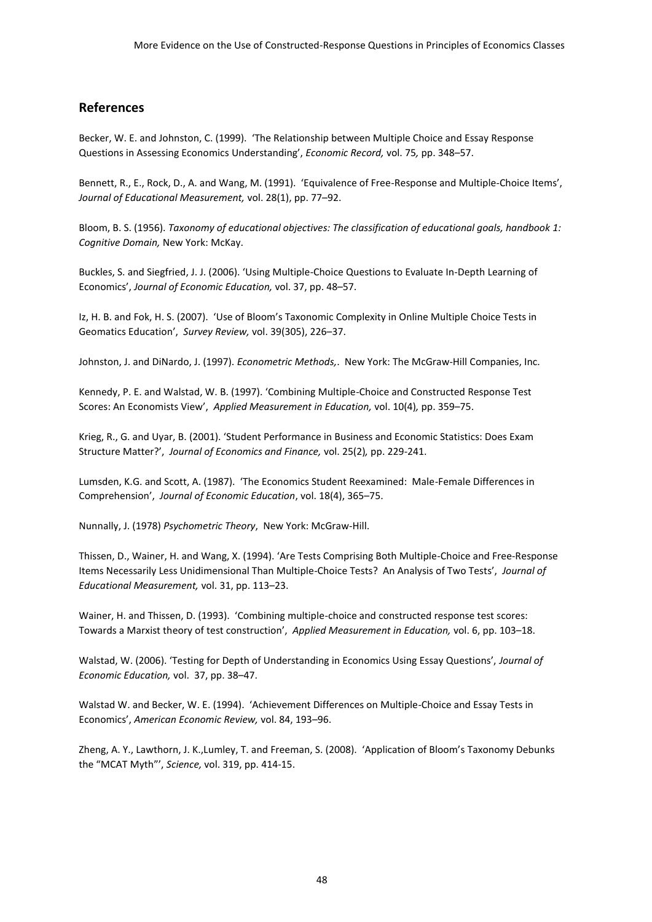## **References**

Becker, W. E. and Johnston, C. (1999). 'The Relationship between Multiple Choice and Essay Response Questions in Assessing Economics Understanding', *Economic Record,* vol. 75*,* pp. 348–57.

Bennett, R., E., Rock, D., A. and Wang, M. (1991). 'Equivalence of Free-Response and Multiple-Choice Items', *Journal of Educational Measurement,* vol. 28(1), pp. 77–92.

Bloom, B. S. (1956). *Taxonomy of educational objectives: The classification of educational goals, handbook 1: Cognitive Domain,* New York: McKay.

Buckles, S. and Siegfried, J. J. (2006). 'Using Multiple-Choice Questions to Evaluate In-Depth Learning of Economics', *Journal of Economic Education,* vol. 37, pp. 48–57.

Iz, H. B. and Fok, H. S. (2007). 'Use of Bloom's Taxonomic Complexity in Online Multiple Choice Tests in Geomatics Education', *Survey Review,* vol. 39(305), 226–37.

Johnston, J. and DiNardo, J. (1997). *Econometric Methods,*. New York: The McGraw-Hill Companies, Inc.

Kennedy, P. E. and Walstad, W. B. (1997). 'Combining Multiple-Choice and Constructed Response Test Scores: An Economists View', *Applied Measurement in Education,* vol. 10(4)*,* pp. 359–75.

Krieg, R., G. and Uyar, B. (2001). 'Student Performance in Business and Economic Statistics: Does Exam Structure Matter?', *Journal of Economics and Finance,* vol. 25(2)*,* pp. 229-241.

Lumsden, K.G. and Scott, A. (1987). 'The Economics Student Reexamined: Male-Female Differences in Comprehension', *Journal of Economic Education*, vol. 18(4), 365–75.

Nunnally, J. (1978) *Psychometric Theory*, New York: McGraw-Hill.

Thissen, D., Wainer, H. and Wang, X. (1994). 'Are Tests Comprising Both Multiple-Choice and Free-Response Items Necessarily Less Unidimensional Than Multiple-Choice Tests? An Analysis of Two Tests', *Journal of Educational Measurement,* vol. 31, pp. 113–23.

Wainer, H. and Thissen, D. (1993). 'Combining multiple-choice and constructed response test scores: Towards a Marxist theory of test construction', *Applied Measurement in Education,* vol. 6, pp. 103–18.

Walstad, W. (2006). 'Testing for Depth of Understanding in Economics Using Essay Questions', *Journal of Economic Education,* vol. 37, pp. 38–47.

Walstad W. and Becker, W. E. (1994). 'Achievement Differences on Multiple-Choice and Essay Tests in Economics', *American Economic Review,* vol. 84, 193–96.

Zheng, A. Y., Lawthorn, J. K.,Lumley, T. and Freeman, S. (2008). 'Application of Bloom's Taxonomy Debunks the "MCAT Myth"', *Science,* vol. 319, pp. 414-15.